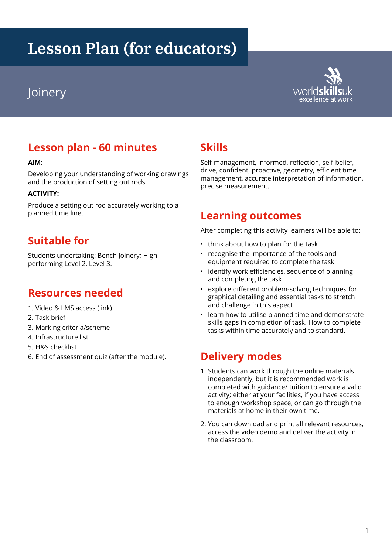# **Lesson Plan (for educators)**



# **Lesson plan - 60 minutes**

#### **AIM:**

Developing your understanding of working drawings and the production of setting out rods.

#### **ACTIVITY:**

Produce a setting out rod accurately working to a planned time line.

## **Suitable for**

Students undertaking: Bench Joinery; High performing Level 2, Level 3.

#### **Resources needed**

- 1. Video & LMS access (link)
- 2. Task brief
- 3. Marking criteria/scheme
- 4. Infrastructure list
- 5. H&S checklist
- 6. End of assessment quiz (after the module).

#### **Skills**

Self-management, informed, reflection, self-belief, drive, confident, proactive, geometry, efficient time management, accurate interpretation of information, precise measurement.

#### **Learning outcomes**

After completing this activity learners will be able to:

- think about how to plan for the task
- recognise the importance of the tools and equipment required to complete the task
- identify work efficiencies, sequence of planning and completing the task
- explore different problem-solving techniques for graphical detailing and essential tasks to stretch and challenge in this aspect
- learn how to utilise planned time and demonstrate skills gaps in completion of task. How to complete tasks within time accurately and to standard.

## **Delivery modes**

- 1. Students can work through the online materials independently, but it is recommended work is completed with guidance/ tuition to ensure a valid activity; either at your facilities, if you have access to enough workshop space, or can go through the materials at home in their own time.
- 2. You can download and print all relevant resources, access the video demo and deliver the activity in the classroom.